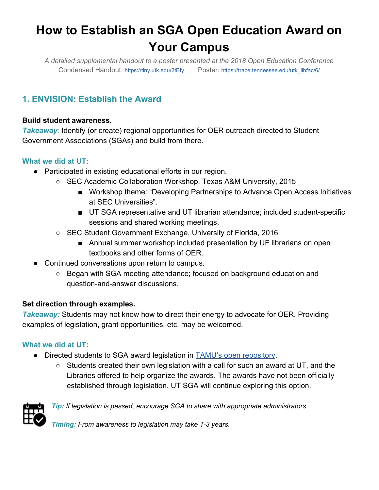# **How to Establish an SGA Open Education Award on Your Campus**

*A detailed supplemental handout to a poster presented at the 2018 Open Education Conference* Condensed Handout: <https://tiny.utk.edu/2tEfy>| Poster: [https://trace.tennessee.edu/utk\\_libfac/6/](https://trace.tennessee.edu/utk_libfac/6/)

## **1. ENVISION: Establish the Award**

### **Build student awareness.**

*Takeaway:* Identify (or create) regional opportunities for OER outreach directed to Student Government Associations (SGAs) and build from there.

### **What we did at UT:**

- Participated in existing educational efforts in our region.
	- SEC Academic Collaboration Workshop, Texas A&M University, 2015
		- Workshop theme: "Developing Partnerships to Advance Open Access Initiatives at SEC Universities".
		- UT SGA representative and UT librarian attendance; included student-specific sessions and shared working meetings.
	- SEC Student Government Exchange, University of Florida, 2016
		- Annual summer workshop included presentation by UF librarians on open textbooks and other forms of OER.
- Continued conversations upon return to campus.
	- Began with SGA meeting attendance; focused on background education and question-and-answer discussions.

### **Set direction through examples.**

*Takeaway:* Students may not know how to direct their energy to advocate for OER. Providing examples of legislation, grant opportunities, etc. may be welcomed.

### **What we did at UT:**

- Directed students to SGA award legislation in [TAMU's open repository.](http://hdl.handle.net/1969.1/156092)
	- $\circ$  Students created their own legislation with a call for such an award at UT, and the Libraries offered to help organize the awards. The awards have not been officially established through legislation. UT SGA will continue exploring this option.



*Tip: If legislation is passed, encourage SGA to share with appropriate administrators.*

*Timing: From awareness to legislation may take 1-3 years.*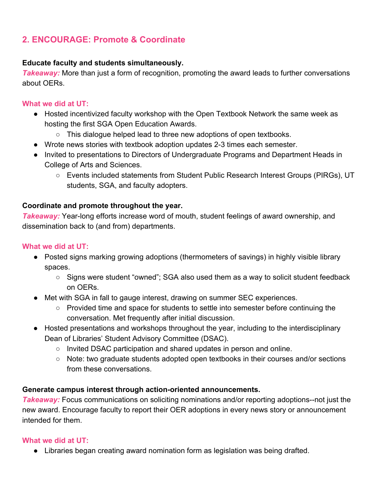### **2. ENCOURAGE: Promote & Coordinate**

### **Educate faculty and students simultaneously.**

**Takeaway:** More than just a form of recognition, promoting the award leads to further conversations about OERs.

### **What we did at UT:**

- Hosted incentivized faculty workshop with the Open Textbook Network the same week as hosting the first SGA Open Education Awards.
	- This dialogue helped lead to three new adoptions of open textbooks.
- Wrote news stories with textbook adoption updates 2-3 times each semester.
- Invited to presentations to Directors of Undergraduate Programs and Department Heads in College of Arts and Sciences.
	- Events included statements from Student Public Research Interest Groups (PIRGs), UT students, SGA, and faculty adopters.

### **Coordinate and promote throughout the year.**

**Takeaway:** Year-long efforts increase word of mouth, student feelings of award ownership, and dissemination back to (and from) departments.

### **What we did at UT:**

- Posted signs marking growing adoptions (thermometers of savings) in highly visible library spaces.
	- Signs were student "owned"; SGA also used them as a way to solicit student feedback on OERs.
- Met with SGA in fall to gauge interest, drawing on summer SEC experiences.
	- Provided time and space for students to settle into semester before continuing the conversation. Met frequently after initial discussion.
- Hosted presentations and workshops throughout the year, including to the interdisciplinary Dean of Libraries' Student Advisory Committee (DSAC).
	- Invited DSAC participation and shared updates in person and online.
	- Note: two graduate students adopted open textbooks in their courses and/or sections from these conversations.

### **Generate campus interest through action-oriented announcements.**

*Takeaway:* Focus communications on soliciting nominations and/or reporting adoptions--not just the new award. Encourage faculty to report their OER adoptions in every news story or announcement intended for them.

### **What we did at UT:**

● Libraries began creating award nomination form as legislation was being drafted.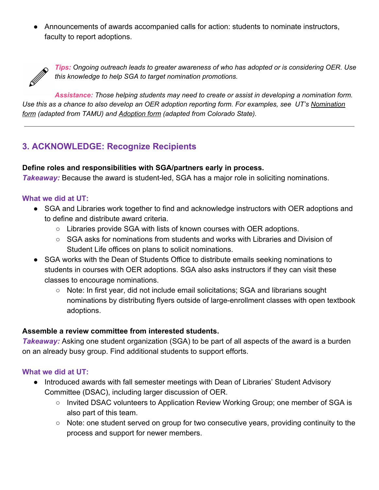● Announcements of awards accompanied calls for action: students to nominate instructors, faculty to report adoptions.



*Tips: Ongoing outreach leads to greater awareness of who has adopted or is considering OER. Use this knowledge to help SGA to target nomination promotions.* 

*Assistance: Those helping students may need to create or assist in developing a nomination form. AUse this as a chance to also develop an OER adoption reporting form. For examples, see UT's [Nomination](https://www.lib.utk.edu/scholar/sga-open-educator-award-nomination-form/)  [form](https://www.lib.utk.edu/scholar/sga-open-educator-award-nomination-form/) (adapted from TAMU) and [Adoption form](http://s.lib.utk.edu/opened) (adapted from Colorado State).*

### **3. ACKNOWLEDGE: Recognize Recipients**

### **Define roles and responsibilities with SGA/partners early in process.**

**Takeaway:** Because the award is student-led, SGA has a major role in soliciting nominations.

### **What we did at UT:**

- SGA and Libraries work together to find and acknowledge instructors with OER adoptions and to define and distribute award criteria.
	- Libraries provide SGA with lists of known courses with OER adoptions.
	- $\circ$  SGA asks for nominations from students and works with Libraries and Division of Student Life offices on plans to solicit nominations.
- SGA works with the Dean of Students Office to distribute emails seeking nominations to students in courses with OER adoptions. SGA also asks instructors if they can visit these classes to encourage nominations.
	- Note: In first year, did not include email solicitations; SGA and librarians sought nominations by distributing flyers outside of large-enrollment classes with open textbook adoptions.

### **Assemble a review committee from interested students.**

**Takeaway:** Asking one student organization (SGA) to be part of all aspects of the award is a burden on an already busy group. Find additional students to support efforts.

### **What we did at UT:**

- Introduced awards with fall semester meetings with Dean of Libraries' Student Advisory Committee (DSAC), including larger discussion of OER.
	- Invited DSAC volunteers to Application Review Working Group; one member of SGA is also part of this team.
	- Note: one student served on group for two consecutive years, providing continuity to the process and support for newer members.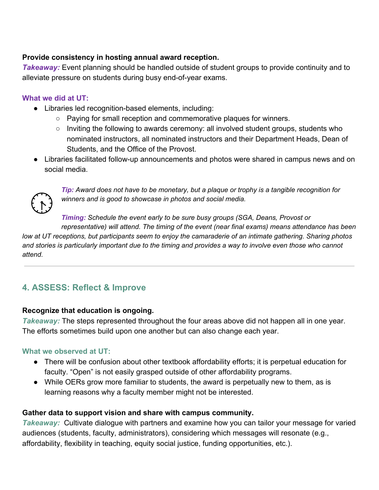### **Provide consistency in hosting annual award reception.**

**Takeaway:** Event planning should be handled outside of student groups to provide continuity and to alleviate pressure on students during busy end-of-year exams.

### **What we did at UT:**

- Libraries led recognition-based elements, including:
	- Paying for small reception and commemorative plaques for winners.
	- Inviting the following to awards ceremony: all involved student groups, students who nominated instructors, all nominated instructors and their Department Heads, Dean of Students, and the Office of the Provost.
- Libraries facilitated follow-up announcements and photos were shared in campus news and on social media.



*Tip: Award does not have to be monetary, but a plaque or trophy is a tangible recognition for winners and is good to showcase in photos and social media.* 

*Timing: Schedule the event early to be sure busy groups (SGA, Deans, Provost or representative) will attend. The timing of the event (near final exams) means attendance has been* 

*low at UT receptions, but participants seem to enjoy the camaraderie of an intimate gathering. Sharing photos and stories is particularly important due to the timing and provides a way to involve even those who cannot attend.*

### **4. ASSESS: Reflect & Improve**

### **Recognize that education is ongoing.**

*Takeaway:* The steps represented throughout the four areas above did not happen all in one year. The efforts sometimes build upon one another but can also change each year.

### **What we observed at UT:**

- There will be confusion about other textbook affordability efforts; it is perpetual education for faculty. "Open" is not easily grasped outside of other affordability programs.
- While OERs grow more familiar to students, the award is perpetually new to them, as is learning reasons why a faculty member might not be interested.

### **Gather data to support vision and share with campus community.**

*Takeaway:* Cultivate dialogue with partners and examine how you can tailor your message for varied audiences (students, faculty, administrators), considering which messages will resonate (e.g., affordability, flexibility in teaching, equity social justice, funding opportunities, etc.).